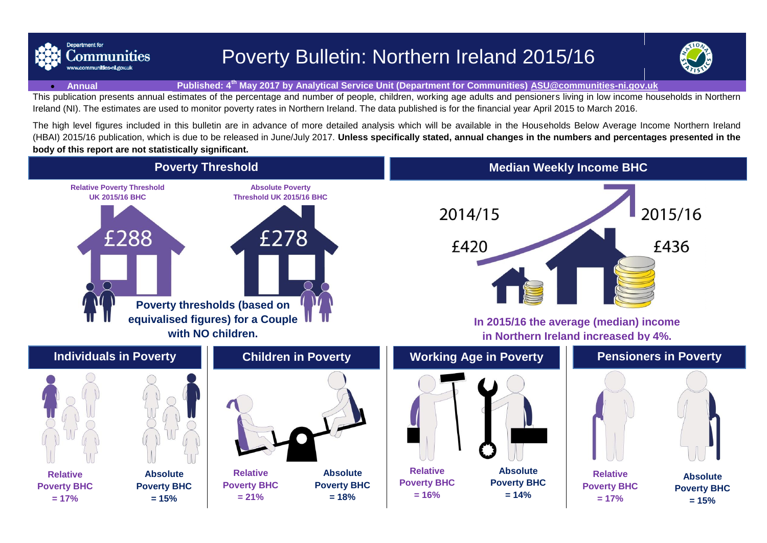

# Poverty Bulletin: Northern Ireland 2015/16



#### **Annual Published: 4 th May 2017 by Analytical Service Unit (Department for Communities) [ASU@communities-ni.gov.uk](mailto:ASU@communities-ni.gov.uk)**

This publication presents annual estimates of the percentage and number of people, children, working age adults and pensioners living in low income households in Northern Ireland (NI). The estimates are used to monitor poverty rates in Northern Ireland. The data published is for the financial year April 2015 to March 2016.

The high level figures included in this bulletin are in advance of more detailed analysis which will be available in the Households Below Average Income Northern Ireland (HBAI) 2015/16 publication, which is due to be released in June/July 2017. **Unless specifically stated, annual changes in the numbers and percentages presented in the body of this report are not statistically significant.**

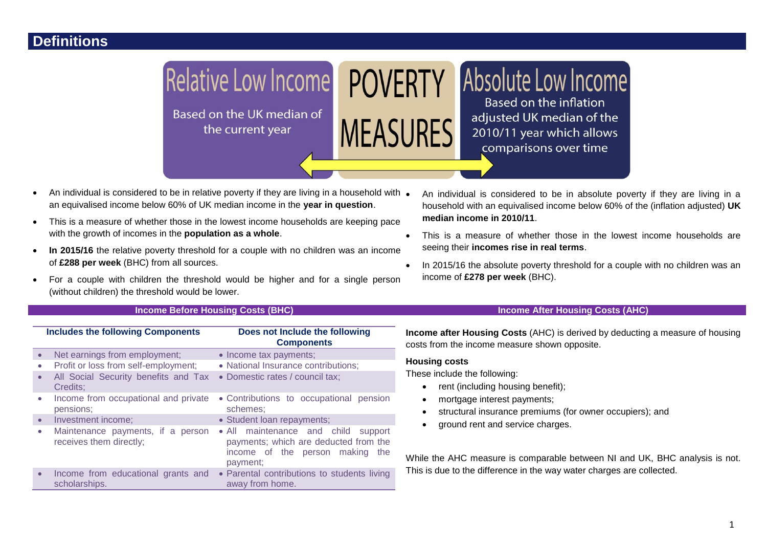

- $\bullet$  An individual is considered to be in relative poverty if they are living in a household with  $\bullet$ an equivalised income below 60% of UK median income in the **year in question**.
- This is a measure of whether those in the lowest income households are keeping pace with the growth of incomes in the **population as a whole**.
- In 2015/16 the relative poverty threshold for a couple with no children was an income of **£288 per week** (BHC) from all sources.
- For a couple with children the threshold would be higher and for a single person (without children) the threshold would be lower.
	-

| <b>Includes the following Components</b> |                                                              | Does not Include the following<br><b>Components</b>                                                                               |
|------------------------------------------|--------------------------------------------------------------|-----------------------------------------------------------------------------------------------------------------------------------|
|                                          | Net earnings from employment;                                | • Income tax payments;                                                                                                            |
| $\bullet$                                | Profit or loss from self-employment;                         | • National Insurance contributions;                                                                                               |
| $\bullet$                                | All Social Security benefits and Tax<br>Credits:             | • Domestic rates / council tax;                                                                                                   |
| $\bullet$                                | Income from occupational and private<br>pensions;            | • Contributions to occupational pension<br>schemes:                                                                               |
| $\bullet$                                | Investment income;                                           | • Student loan repayments;                                                                                                        |
|                                          | Maintenance payments, if a person<br>receives them directly; | · All maintenance and child<br>support<br>payments; which are deducted from the<br>income of the person making<br>the<br>payment; |
| $\bullet$                                | Income from educational grants and<br>scholarships.          | • Parental contributions to students living<br>away from home.                                                                    |

- An individual is considered to be in absolute poverty if they are living in a household with an equivalised income below 60% of the (inflation adjusted) **UK median income in 2010/11**.
- This is a measure of whether those in the lowest income households are seeing their **incomes rise in real terms**.
- In 2015/16 the absolute poverty threshold for a couple with no children was an income of **£278 per week** (BHC).

#### **Income Before Housing Costs (BHC) Income After Housing Costs (AHC)**

**Income after Housing Costs** (AHC) is derived by deducting a measure of housing costs from the income measure shown opposite.

#### **Housing costs**

These include the following:

- rent (including housing benefit);
- mortgage interest payments;
- structural insurance premiums (for owner occupiers); and
- ground rent and service charges.

While the AHC measure is comparable between NI and UK, BHC analysis is not. This is due to the difference in the way water charges are collected.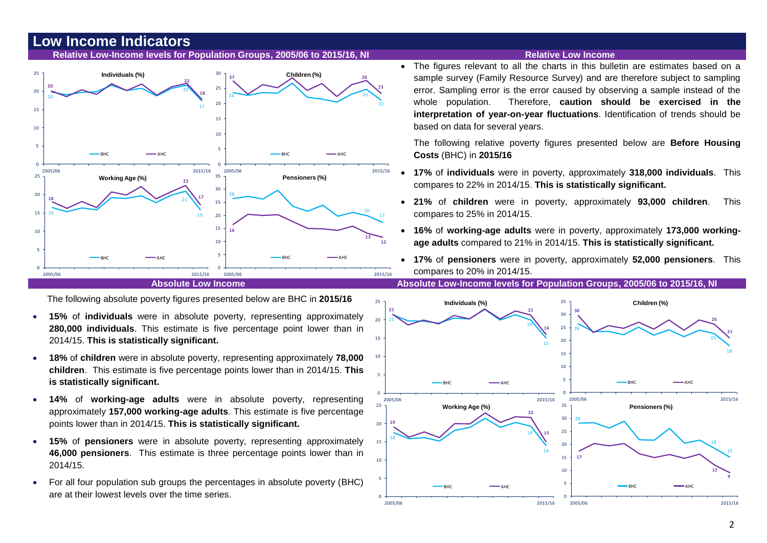## **Low Income Indicators**

#### **Relative Low-Income levels for Population Groups, 2005/06 to 2015/16, NI Relative Low Income**



The following absolute poverty figures presented below are BHC in **2015/16**

- **15%** of **individuals** were in absolute poverty, representing approximately **280,000 individuals**. This estimate is five percentage point lower than in 2014/15. **This is statistically significant.**
- **18%** of **children** were in absolute poverty, representing approximately **78,000 children**. This estimate is five percentage points lower than in 2014/15. **This is statistically significant.**
- **14%** of **working-age adults** were in absolute poverty, representing approximately **157,000 working-age adults**. This estimate is five percentage points lower than in 2014/15. **This is statistically significant.**
- **15%** of **pensioners** were in absolute poverty, representing approximately **46,000 pensioners**. This estimate is three percentage points lower than in 2014/15.
- For all four population sub groups the percentages in absolute poverty (BHC) are at their lowest levels over the time series.

 The figures relevant to all the charts in this bulletin are estimates based on a sample survey (Family Resource Survey) and are therefore subject to sampling error. Sampling error is the error caused by observing a sample instead of the whole population. Therefore, **caution should be exercised in the interpretation of year-on-year fluctuations**. Identification of trends should be based on data for several years.

The following relative poverty figures presented below are **Before Housing Costs** (BHC) in **2015/16**

- **17%** of **individuals** were in poverty, approximately **318,000 individuals**. This compares to 22% in 2014/15. **This is statistically significant.**
- **21%** of **children** were in poverty, approximately **93,000 children**. This compares to 25% in 2014/15.
- **16%** of **working-age adults** were in poverty, approximately **173,000 workingage adults** compared to 21% in 2014/15. **This is statistically significant.**
- **17%** of **pensioners** were in poverty, approximately **52,000 pensioners**. This compares to 20% in 2014/15.

**Absolute Low Income Absolute Low-Income levels for Population Groups, 2005/06 to 2015/16, NI**